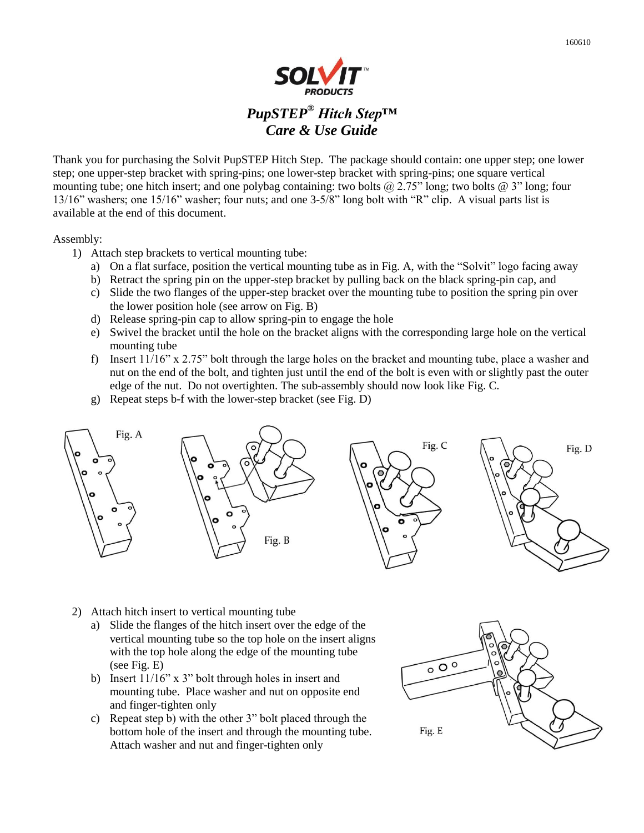Thank you for purchasing the Solvit PupSTEP Hitch Step. The package should contain: one upper step; one lower step; one upper-step bracket with spring-pins; one lower-step bracket with spring-pins; one square vertical mounting tube; one hitch insert; and one polybag containing: two bolts @ 2.75" long; two bolts @ 3" long; four 13/16" washers; one 15/16" washer; four nuts; and one 3-5/8" long bolt with "R" clip. A visual parts list is available at the end of this document.

Assembly:

- 1) Attach step brackets to vertical mounting tube:
	- a) On a flat surface, position the vertical mounting tube as in Fig. A, with the "Solvit" logo facing away
	- b) Retract the spring pin on the upper-step bracket by pulling back on the black spring-pin cap, and
	- c) Slide the two flanges of the upper-step bracket over the mounting tube to position the spring pin over the lower position hole (see arrow on Fig. B)
	- d) Release spring-pin cap to allow spring-pin to engage the hole
	- e) Swivel the bracket until the hole on the bracket aligns with the corresponding large hole on the vertical mounting tube
	- f) Insert 11/16" x 2.75" bolt through the large holes on the bracket and mounting tube, place a washer and nut on the end of the bolt, and tighten just until the end of the bolt is even with or slightly past the outer edge of the nut. Do not overtighten. The sub-assembly should now look like Fig. C.
	- g) Repeat steps b-f with the lower-step bracket (see Fig. D)



- 2) Attach hitch insert to vertical mounting tube
	- a) Slide the flanges of the hitch insert over the edge of the vertical mounting tube so the top hole on the insert aligns with the top hole along the edge of the mounting tube (see Fig. E)
	- b) Insert 11/16" x 3" bolt through holes in insert and mounting tube. Place washer and nut on opposite end and finger-tighten only
	- c) Repeat step b) with the other 3" bolt placed through the bottom hole of the insert and through the mounting tube. Attach washer and nut and finger-tighten only

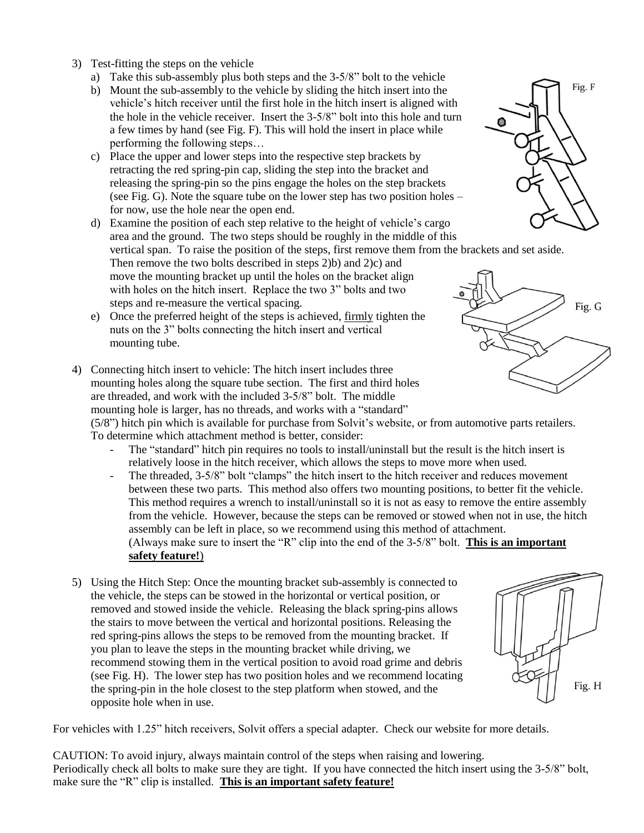- 3) Test-fitting the steps on the vehicle
	- a) Take this sub-assembly plus both steps and the 3-5/8" bolt to the vehicle
	- b) Mount the sub-assembly to the vehicle by sliding the hitch insert into the vehicle's hitch receiver until the first hole in the hitch insert is aligned with the hole in the vehicle receiver. Insert the 3-5/8" bolt into this hole and turn a few times by hand (see Fig. F). This will hold the insert in place while performing the following steps…
	- c) Place the upper and lower steps into the respective step brackets by retracting the red spring-pin cap, sliding the step into the bracket and releasing the spring-pin so the pins engage the holes on the step brackets (see Fig. G). Note the square tube on the lower step has two position holes – for now, use the hole near the open end.
	- d) Examine the position of each step relative to the height of vehicle's cargo area and the ground. The two steps should be roughly in the middle of this vertical span. To raise the position of the steps, first remove them from the brackets and set aside. Then remove the two bolts described in steps 2)b) and 2)c) and move the mounting bracket up until the holes on the bracket align with holes on the hitch insert. Replace the two 3" bolts and two steps and re-measure the vertical spacing.
	- e) Once the preferred height of the steps is achieved, firmly tighten the nuts on the 3" bolts connecting the hitch insert and vertical mounting tube.
- 4) Connecting hitch insert to vehicle: The hitch insert includes three mounting holes along the square tube section. The first and third holes are threaded, and work with the included 3-5/8" bolt. The middle mounting hole is larger, has no threads, and works with a "standard"

(5/8") hitch pin which is available for purchase from Solvit's website, or from automotive parts retailers. To determine which attachment method is better, consider:

- The "standard" hitch pin requires no tools to install/uninstall but the result is the hitch insert is relatively loose in the hitch receiver, which allows the steps to move more when used.
- The threaded, 3-5/8" bolt "clamps" the hitch insert to the hitch receiver and reduces movement between these two parts. This method also offers two mounting positions, to better fit the vehicle. This method requires a wrench to install/uninstall so it is not as easy to remove the entire assembly from the vehicle. However, because the steps can be removed or stowed when not in use, the hitch assembly can be left in place, so we recommend using this method of attachment. (Always make sure to insert the "R" clip into the end of the 3-5/8" bolt. **This is an important safety feature!**)
- 5) Using the Hitch Step: Once the mounting bracket sub-assembly is connected to the vehicle, the steps can be stowed in the horizontal or vertical position, or removed and stowed inside the vehicle. Releasing the black spring-pins allows the stairs to move between the vertical and horizontal positions. Releasing the red spring-pins allows the steps to be removed from the mounting bracket. If you plan to leave the steps in the mounting bracket while driving, we recommend stowing them in the vertical position to avoid road grime and debris (see Fig. H). The lower step has two position holes and we recommend locating the spring-pin in the hole closest to the step platform when stowed, and the opposite hole when in use.

For vehicles with 1.25" hitch receivers, Solvit offers a special adapter. Check our website for more details.

CAUTION: To avoid injury, always maintain control of the steps when raising and lowering. Periodically check all bolts to make sure they are tight. If you have connected the hitch insert using the 3-5/8" bolt, make sure the "R" clip is installed. **This is an important safety feature!**